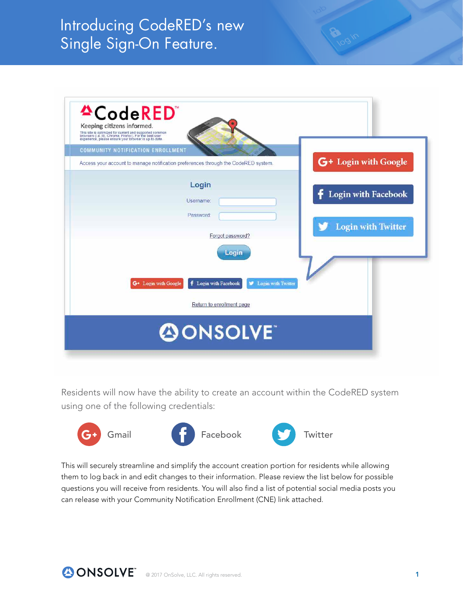# Introducing CodeRED's new Single Sign-On Feature.

| <b>COMMUNITY NOTIFICATION ENROLLMENT</b> |                                                                                                 | G+ Login with Google       |
|------------------------------------------|-------------------------------------------------------------------------------------------------|----------------------------|
|                                          | Access your account to manage notification preferences through the CodeRED system.              |                            |
|                                          | Login                                                                                           |                            |
|                                          | Username:                                                                                       | <b>Login with Facebook</b> |
|                                          | Password                                                                                        |                            |
|                                          |                                                                                                 | <b>Login with Twitter</b>  |
|                                          | Forgot password?                                                                                |                            |
|                                          | Login                                                                                           |                            |
|                                          |                                                                                                 |                            |
|                                          | <b>f</b> Login with Facebook<br>G <sup>+</sup> Login with Google<br><b>D</b> Login with Twitter |                            |
|                                          |                                                                                                 |                            |
|                                          | Return to enrollment page                                                                       |                            |

Residents will now have the ability to create an account within the CodeRED system using one of the following credentials:







This will securely streamline and simplify the account creation portion for residents while allowing them to log back in and edit changes to their information. Please review the list below for possible questions you will receive from residents. You will also find a list of potential social media posts you can release with your Community Notification Enrollment (CNE) link attached.